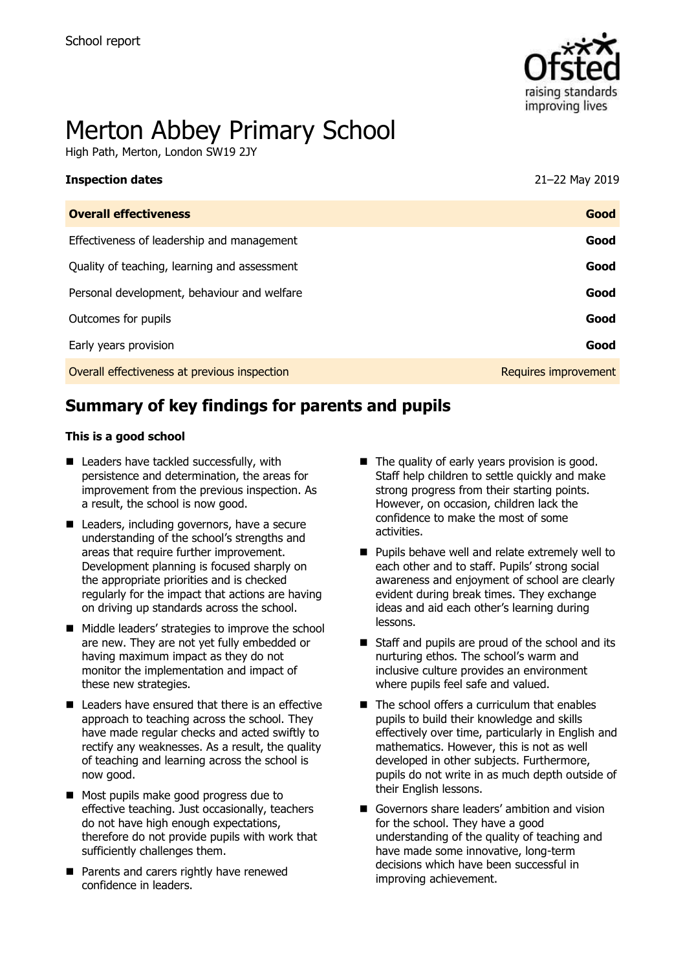

# Merton Abbey Primary School

High Path, Merton, London SW19 2JY

| <b>Inspection dates</b>                      | 21-22 May 2019       |
|----------------------------------------------|----------------------|
| <b>Overall effectiveness</b>                 | Good                 |
| Effectiveness of leadership and management   | Good                 |
| Quality of teaching, learning and assessment | Good                 |
| Personal development, behaviour and welfare  | Good                 |
| Outcomes for pupils                          | Good                 |
| Early years provision                        | Good                 |
| Overall effectiveness at previous inspection | Requires improvement |

# **Summary of key findings for parents and pupils**

#### **This is a good school**

- Leaders have tackled successfully, with persistence and determination, the areas for improvement from the previous inspection. As a result, the school is now good.
- Leaders, including governors, have a secure understanding of the school's strengths and areas that require further improvement. Development planning is focused sharply on the appropriate priorities and is checked regularly for the impact that actions are having on driving up standards across the school.
- Middle leaders' strategies to improve the school are new. They are not yet fully embedded or having maximum impact as they do not monitor the implementation and impact of these new strategies.
- $\blacksquare$  Leaders have ensured that there is an effective approach to teaching across the school. They have made regular checks and acted swiftly to rectify any weaknesses. As a result, the quality of teaching and learning across the school is now good.
- Most pupils make good progress due to effective teaching. Just occasionally, teachers do not have high enough expectations, therefore do not provide pupils with work that sufficiently challenges them.
- **Parents and carers rightly have renewed** confidence in leaders.
- $\blacksquare$  The quality of early years provision is good. Staff help children to settle quickly and make strong progress from their starting points. However, on occasion, children lack the confidence to make the most of some activities.
- **Pupils behave well and relate extremely well to** each other and to staff. Pupils' strong social awareness and enjoyment of school are clearly evident during break times. They exchange ideas and aid each other's learning during lessons.
- Staff and pupils are proud of the school and its nurturing ethos. The school's warm and inclusive culture provides an environment where pupils feel safe and valued.
- $\blacksquare$  The school offers a curriculum that enables pupils to build their knowledge and skills effectively over time, particularly in English and mathematics. However, this is not as well developed in other subjects. Furthermore, pupils do not write in as much depth outside of their English lessons.
- Governors share leaders' ambition and vision for the school. They have a good understanding of the quality of teaching and have made some innovative, long-term decisions which have been successful in improving achievement.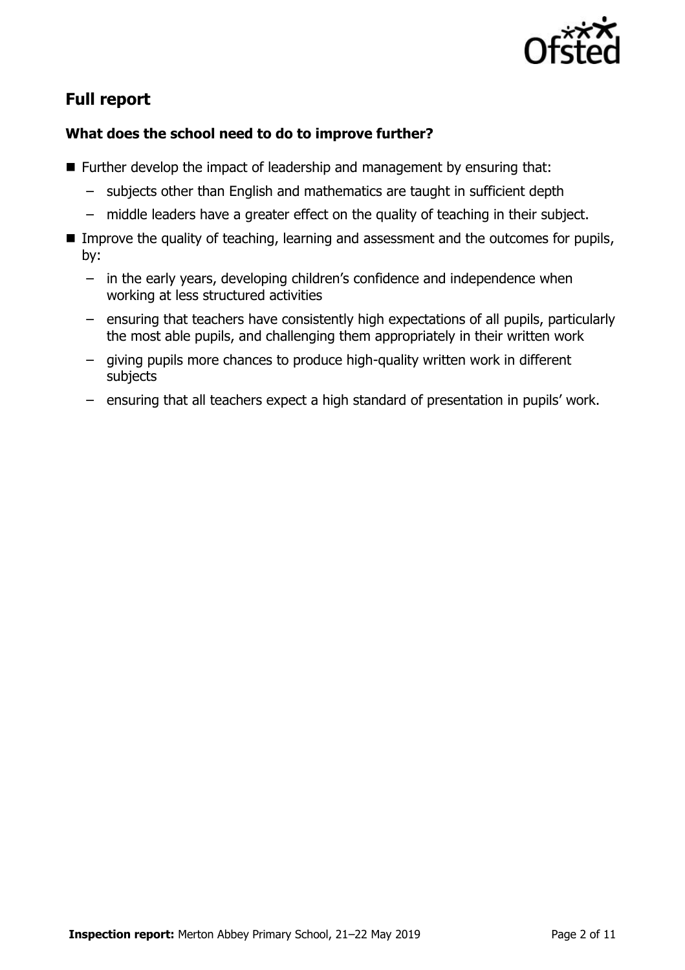

# **Full report**

### **What does the school need to do to improve further?**

- Further develop the impact of leadership and management by ensuring that:
	- subjects other than English and mathematics are taught in sufficient depth
	- middle leaders have a greater effect on the quality of teaching in their subject.
- **IMPROVE the quality of teaching, learning and assessment and the outcomes for pupils,** by:
	- in the early years, developing children's confidence and independence when working at less structured activities
	- ensuring that teachers have consistently high expectations of all pupils, particularly the most able pupils, and challenging them appropriately in their written work
	- giving pupils more chances to produce high-quality written work in different subjects
	- ensuring that all teachers expect a high standard of presentation in pupils' work.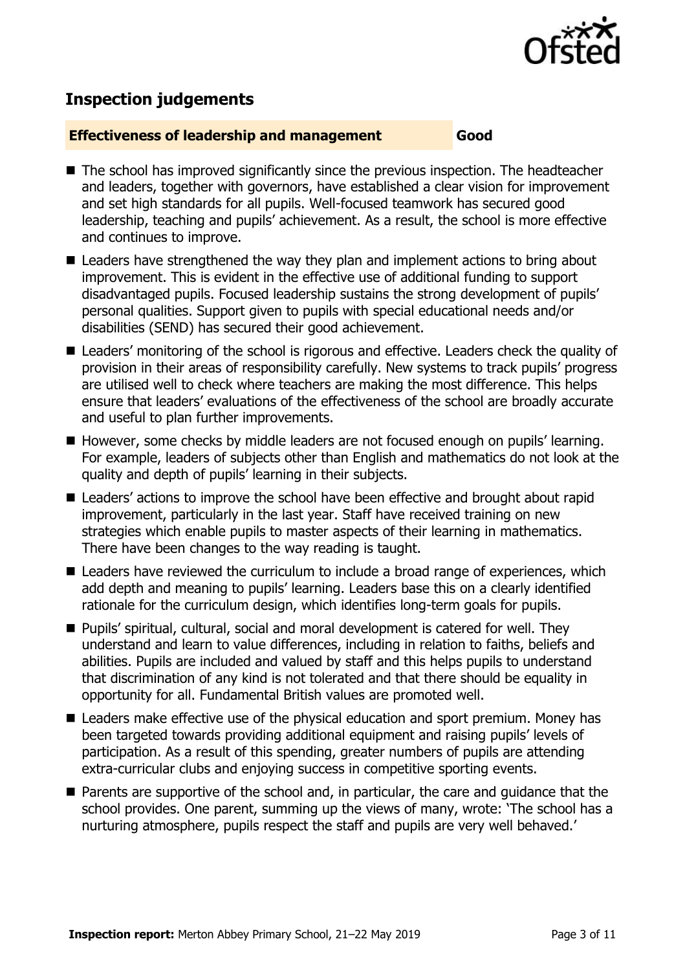

# **Inspection judgements**

#### **Effectiveness of leadership and management Good**

- The school has improved significantly since the previous inspection. The headteacher and leaders, together with governors, have established a clear vision for improvement and set high standards for all pupils. Well-focused teamwork has secured good leadership, teaching and pupils' achievement. As a result, the school is more effective and continues to improve.
- Leaders have strengthened the way they plan and implement actions to bring about improvement. This is evident in the effective use of additional funding to support disadvantaged pupils. Focused leadership sustains the strong development of pupils' personal qualities. Support given to pupils with special educational needs and/or disabilities (SEND) has secured their good achievement.
- Leaders' monitoring of the school is rigorous and effective. Leaders check the quality of provision in their areas of responsibility carefully. New systems to track pupils' progress are utilised well to check where teachers are making the most difference. This helps ensure that leaders' evaluations of the effectiveness of the school are broadly accurate and useful to plan further improvements.
- However, some checks by middle leaders are not focused enough on pupils' learning. For example, leaders of subjects other than English and mathematics do not look at the quality and depth of pupils' learning in their subjects.
- Leaders' actions to improve the school have been effective and brought about rapid improvement, particularly in the last year. Staff have received training on new strategies which enable pupils to master aspects of their learning in mathematics. There have been changes to the way reading is taught.
- Leaders have reviewed the curriculum to include a broad range of experiences, which add depth and meaning to pupils' learning. Leaders base this on a clearly identified rationale for the curriculum design, which identifies long-term goals for pupils.
- Pupils' spiritual, cultural, social and moral development is catered for well. They understand and learn to value differences, including in relation to faiths, beliefs and abilities. Pupils are included and valued by staff and this helps pupils to understand that discrimination of any kind is not tolerated and that there should be equality in opportunity for all. Fundamental British values are promoted well.
- Leaders make effective use of the physical education and sport premium. Money has been targeted towards providing additional equipment and raising pupils' levels of participation. As a result of this spending, greater numbers of pupils are attending extra-curricular clubs and enjoying success in competitive sporting events.
- **Parents are supportive of the school and, in particular, the care and quidance that the** school provides. One parent, summing up the views of many, wrote: 'The school has a nurturing atmosphere, pupils respect the staff and pupils are very well behaved.'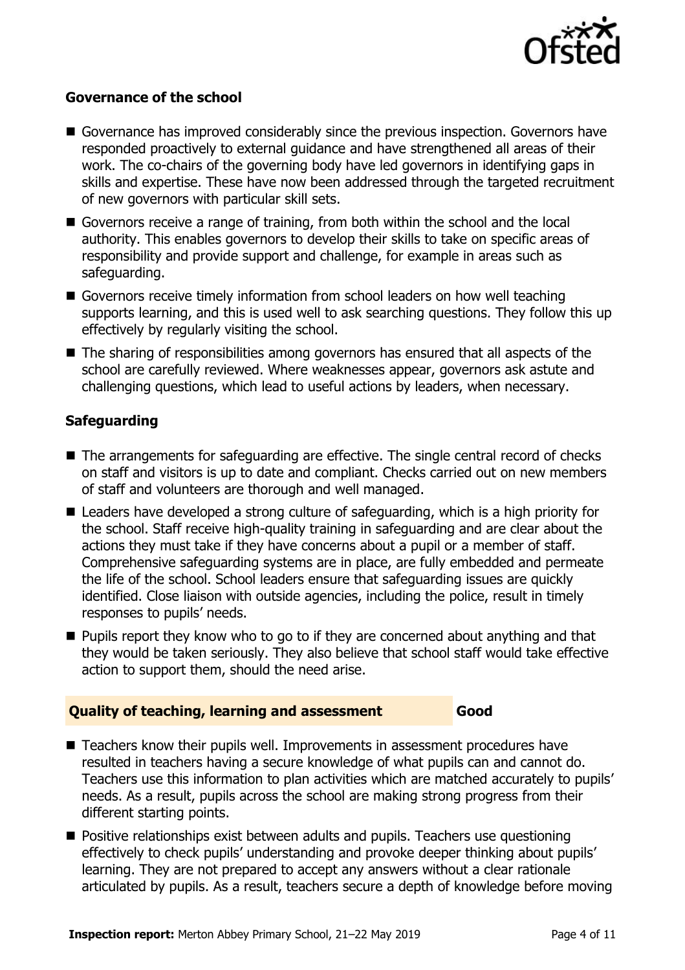

#### **Governance of the school**

- Governance has improved considerably since the previous inspection. Governors have responded proactively to external guidance and have strengthened all areas of their work. The co-chairs of the governing body have led governors in identifying gaps in skills and expertise. These have now been addressed through the targeted recruitment of new governors with particular skill sets.
- Governors receive a range of training, from both within the school and the local authority. This enables governors to develop their skills to take on specific areas of responsibility and provide support and challenge, for example in areas such as safeguarding.
- Governors receive timely information from school leaders on how well teaching supports learning, and this is used well to ask searching questions. They follow this up effectively by regularly visiting the school.
- The sharing of responsibilities among governors has ensured that all aspects of the school are carefully reviewed. Where weaknesses appear, governors ask astute and challenging questions, which lead to useful actions by leaders, when necessary.

#### **Safeguarding**

- The arrangements for safeguarding are effective. The single central record of checks on staff and visitors is up to date and compliant. Checks carried out on new members of staff and volunteers are thorough and well managed.
- Leaders have developed a strong culture of safeguarding, which is a high priority for the school. Staff receive high-quality training in safeguarding and are clear about the actions they must take if they have concerns about a pupil or a member of staff. Comprehensive safeguarding systems are in place, are fully embedded and permeate the life of the school. School leaders ensure that safeguarding issues are quickly identified. Close liaison with outside agencies, including the police, result in timely responses to pupils' needs.
- **Pupils report they know who to go to if they are concerned about anything and that** they would be taken seriously. They also believe that school staff would take effective action to support them, should the need arise.

#### **Quality of teaching, learning and assessment Good**

- Teachers know their pupils well. Improvements in assessment procedures have resulted in teachers having a secure knowledge of what pupils can and cannot do. Teachers use this information to plan activities which are matched accurately to pupils' needs. As a result, pupils across the school are making strong progress from their different starting points.
- **Positive relationships exist between adults and pupils. Teachers use questioning** effectively to check pupils' understanding and provoke deeper thinking about pupils' learning. They are not prepared to accept any answers without a clear rationale articulated by pupils. As a result, teachers secure a depth of knowledge before moving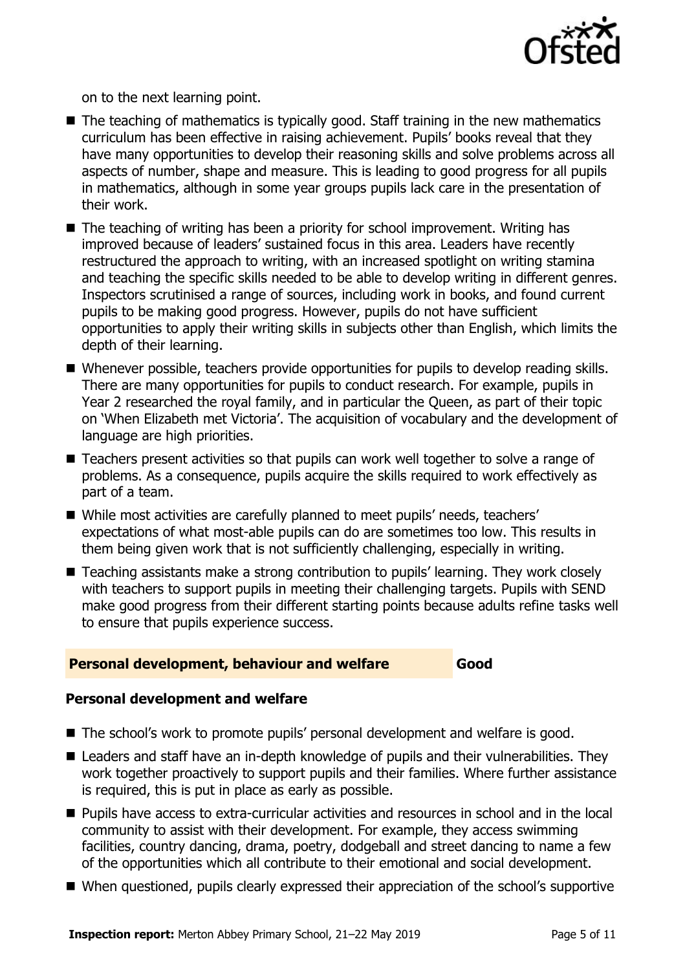

on to the next learning point.

- $\blacksquare$  The teaching of mathematics is typically good. Staff training in the new mathematics curriculum has been effective in raising achievement. Pupils' books reveal that they have many opportunities to develop their reasoning skills and solve problems across all aspects of number, shape and measure. This is leading to good progress for all pupils in mathematics, although in some year groups pupils lack care in the presentation of their work.
- The teaching of writing has been a priority for school improvement. Writing has improved because of leaders' sustained focus in this area. Leaders have recently restructured the approach to writing, with an increased spotlight on writing stamina and teaching the specific skills needed to be able to develop writing in different genres. Inspectors scrutinised a range of sources, including work in books, and found current pupils to be making good progress. However, pupils do not have sufficient opportunities to apply their writing skills in subjects other than English, which limits the depth of their learning.
- Whenever possible, teachers provide opportunities for pupils to develop reading skills. There are many opportunities for pupils to conduct research. For example, pupils in Year 2 researched the royal family, and in particular the Queen, as part of their topic on 'When Elizabeth met Victoria'. The acquisition of vocabulary and the development of language are high priorities.
- Teachers present activities so that pupils can work well together to solve a range of problems. As a consequence, pupils acquire the skills required to work effectively as part of a team.
- While most activities are carefully planned to meet pupils' needs, teachers' expectations of what most-able pupils can do are sometimes too low. This results in them being given work that is not sufficiently challenging, especially in writing.
- Teaching assistants make a strong contribution to pupils' learning. They work closely with teachers to support pupils in meeting their challenging targets. Pupils with SEND make good progress from their different starting points because adults refine tasks well to ensure that pupils experience success.

#### **Personal development, behaviour and welfare Good**

#### **Personal development and welfare**

- The school's work to promote pupils' personal development and welfare is good.
- Leaders and staff have an in-depth knowledge of pupils and their vulnerabilities. They work together proactively to support pupils and their families. Where further assistance is required, this is put in place as early as possible.
- Pupils have access to extra-curricular activities and resources in school and in the local community to assist with their development. For example, they access swimming facilities, country dancing, drama, poetry, dodgeball and street dancing to name a few of the opportunities which all contribute to their emotional and social development.
- When questioned, pupils clearly expressed their appreciation of the school's supportive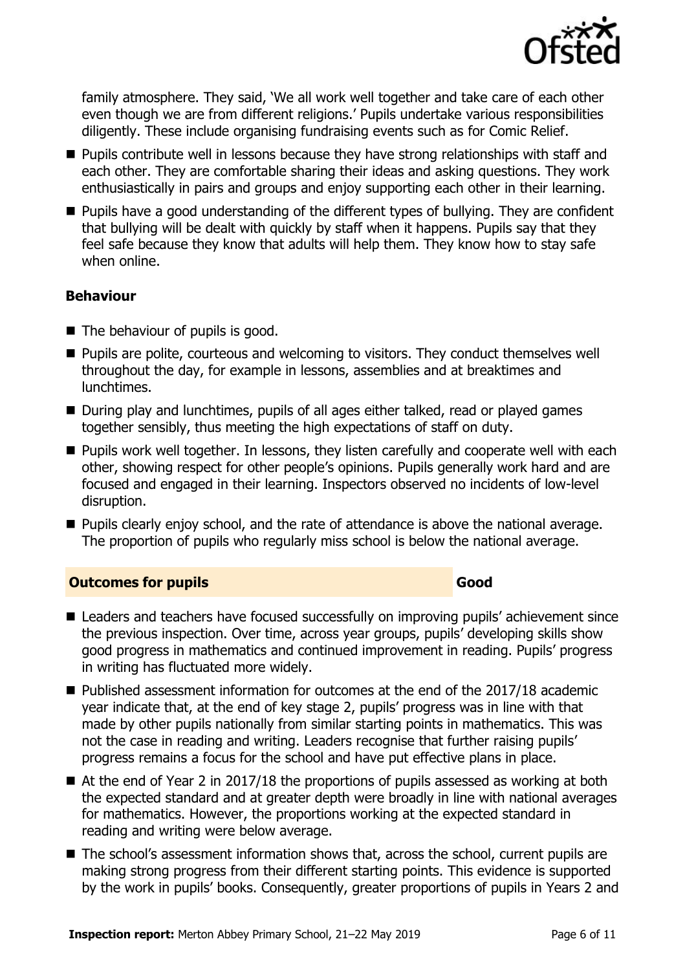

family atmosphere. They said, 'We all work well together and take care of each other even though we are from different religions.' Pupils undertake various responsibilities diligently. These include organising fundraising events such as for Comic Relief.

- **Pupils contribute well in lessons because they have strong relationships with staff and** each other. They are comfortable sharing their ideas and asking questions. They work enthusiastically in pairs and groups and enjoy supporting each other in their learning.
- Pupils have a good understanding of the different types of bullying. They are confident that bullying will be dealt with quickly by staff when it happens. Pupils say that they feel safe because they know that adults will help them. They know how to stay safe when online.

#### **Behaviour**

- The behaviour of pupils is good.
- **Pupils are polite, courteous and welcoming to visitors. They conduct themselves well** throughout the day, for example in lessons, assemblies and at breaktimes and lunchtimes.
- During play and lunchtimes, pupils of all ages either talked, read or played games together sensibly, thus meeting the high expectations of staff on duty.
- **Pupils work well together. In lessons, they listen carefully and cooperate well with each** other, showing respect for other people's opinions. Pupils generally work hard and are focused and engaged in their learning. Inspectors observed no incidents of low-level disruption.
- **Pupils clearly enjoy school, and the rate of attendance is above the national average.** The proportion of pupils who regularly miss school is below the national average.

### **Outcomes for pupils Good Good**

- Leaders and teachers have focused successfully on improving pupils' achievement since the previous inspection. Over time, across year groups, pupils' developing skills show good progress in mathematics and continued improvement in reading. Pupils' progress in writing has fluctuated more widely.
- Published assessment information for outcomes at the end of the 2017/18 academic year indicate that, at the end of key stage 2, pupils' progress was in line with that made by other pupils nationally from similar starting points in mathematics. This was not the case in reading and writing. Leaders recognise that further raising pupils' progress remains a focus for the school and have put effective plans in place.
- At the end of Year 2 in 2017/18 the proportions of pupils assessed as working at both the expected standard and at greater depth were broadly in line with national averages for mathematics. However, the proportions working at the expected standard in reading and writing were below average.
- The school's assessment information shows that, across the school, current pupils are making strong progress from their different starting points. This evidence is supported by the work in pupils' books. Consequently, greater proportions of pupils in Years 2 and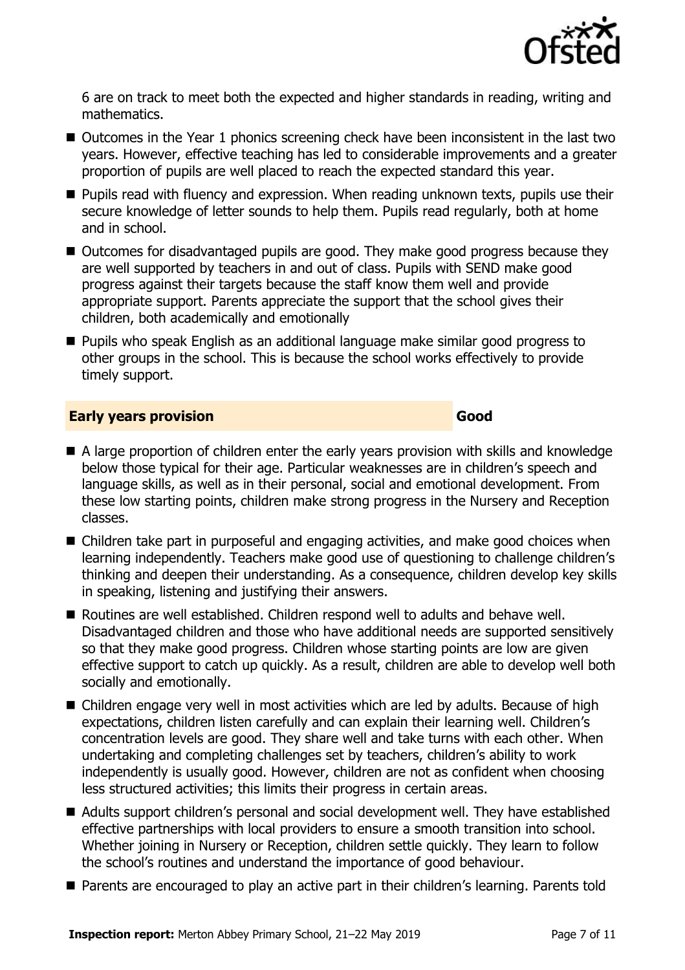

6 are on track to meet both the expected and higher standards in reading, writing and mathematics.

- Outcomes in the Year 1 phonics screening check have been inconsistent in the last two years. However, effective teaching has led to considerable improvements and a greater proportion of pupils are well placed to reach the expected standard this year.
- **Pupils read with fluency and expression. When reading unknown texts, pupils use their** secure knowledge of letter sounds to help them. Pupils read regularly, both at home and in school.
- Outcomes for disadvantaged pupils are good. They make good progress because they are well supported by teachers in and out of class. Pupils with SEND make good progress against their targets because the staff know them well and provide appropriate support. Parents appreciate the support that the school gives their children, both academically and emotionally
- **Pupils who speak English as an additional language make similar good progress to** other groups in the school. This is because the school works effectively to provide timely support.

#### **Early years provision Good Good**

- A large proportion of children enter the early years provision with skills and knowledge below those typical for their age. Particular weaknesses are in children's speech and language skills, as well as in their personal, social and emotional development. From these low starting points, children make strong progress in the Nursery and Reception classes.
- Children take part in purposeful and engaging activities, and make good choices when learning independently. Teachers make good use of questioning to challenge children's thinking and deepen their understanding. As a consequence, children develop key skills in speaking, listening and justifying their answers.
- Routines are well established. Children respond well to adults and behave well. Disadvantaged children and those who have additional needs are supported sensitively so that they make good progress. Children whose starting points are low are given effective support to catch up quickly. As a result, children are able to develop well both socially and emotionally.
- Children engage very well in most activities which are led by adults. Because of high expectations, children listen carefully and can explain their learning well. Children's concentration levels are good. They share well and take turns with each other. When undertaking and completing challenges set by teachers, children's ability to work independently is usually good. However, children are not as confident when choosing less structured activities; this limits their progress in certain areas.
- Adults support children's personal and social development well. They have established effective partnerships with local providers to ensure a smooth transition into school. Whether joining in Nursery or Reception, children settle quickly. They learn to follow the school's routines and understand the importance of good behaviour.
- Parents are encouraged to play an active part in their children's learning. Parents told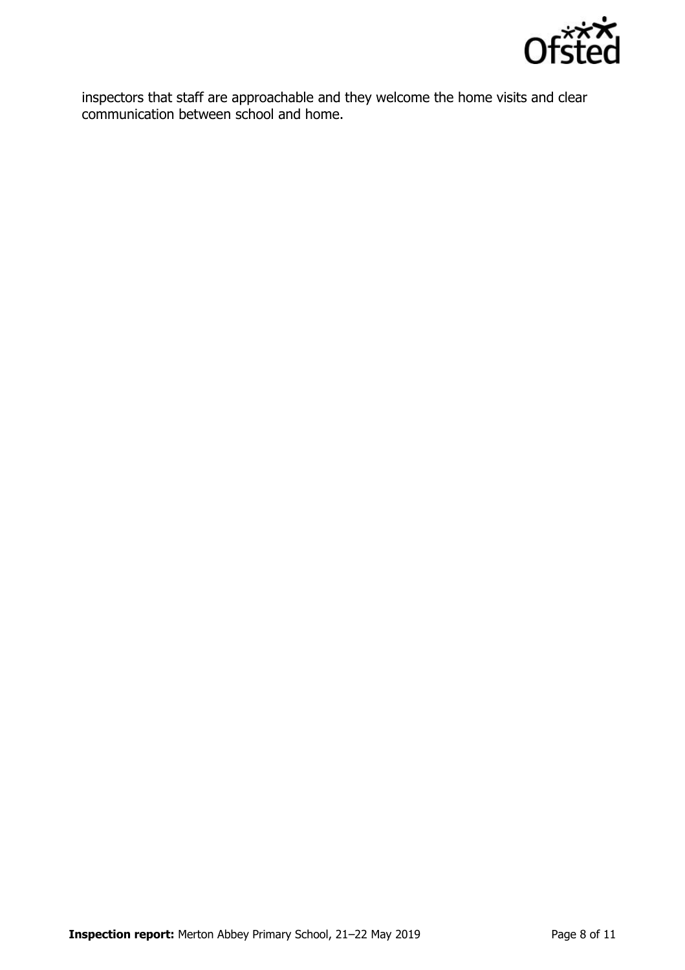

inspectors that staff are approachable and they welcome the home visits and clear communication between school and home.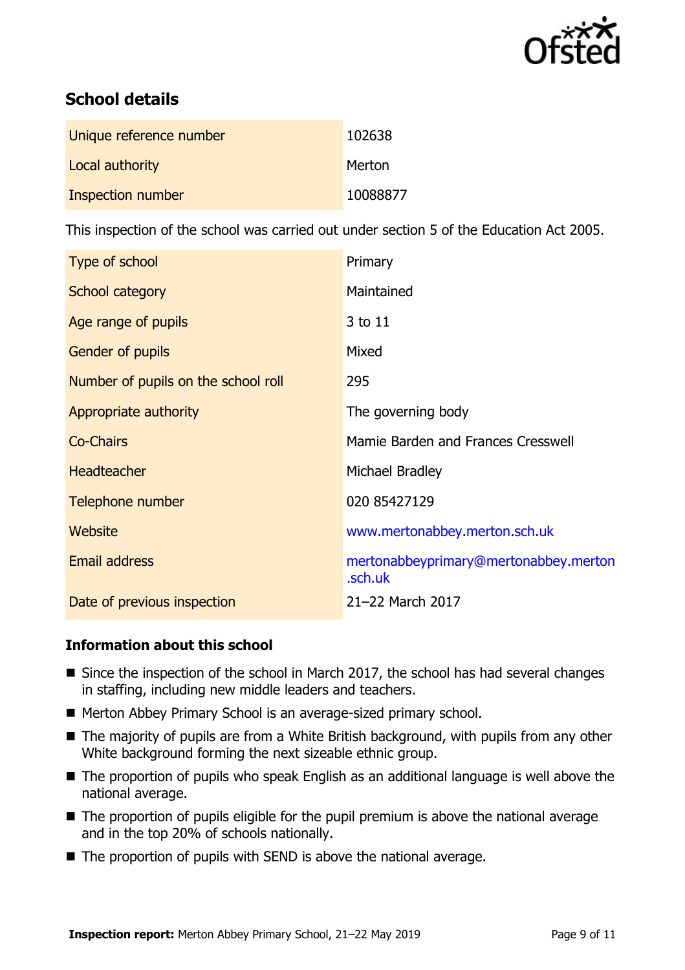

# **School details**

| Unique reference number | 102638   |
|-------------------------|----------|
| Local authority         | Merton   |
| Inspection number       | 10088877 |

This inspection of the school was carried out under section 5 of the Education Act 2005.

| Type of school                      | Primary                                          |
|-------------------------------------|--------------------------------------------------|
| School category                     | Maintained                                       |
| Age range of pupils                 | 3 to 11                                          |
| <b>Gender of pupils</b>             | Mixed                                            |
| Number of pupils on the school roll | 295                                              |
| Appropriate authority               | The governing body                               |
| <b>Co-Chairs</b>                    | Mamie Barden and Frances Cresswell               |
| <b>Headteacher</b>                  | Michael Bradley                                  |
| Telephone number                    | 020 85427129                                     |
| Website                             | www.mertonabbey.merton.sch.uk                    |
| <b>Email address</b>                | mertonabbeyprimary@mertonabbey.merton<br>.sch.uk |
| Date of previous inspection         | 21-22 March 2017                                 |

#### **Information about this school**

- Since the inspection of the school in March 2017, the school has had several changes in staffing, including new middle leaders and teachers.
- Merton Abbey Primary School is an average-sized primary school.
- The majority of pupils are from a White British background, with pupils from any other White background forming the next sizeable ethnic group.
- The proportion of pupils who speak English as an additional language is well above the national average.
- The proportion of pupils eligible for the pupil premium is above the national average and in the top 20% of schools nationally.
- $\blacksquare$  The proportion of pupils with SEND is above the national average.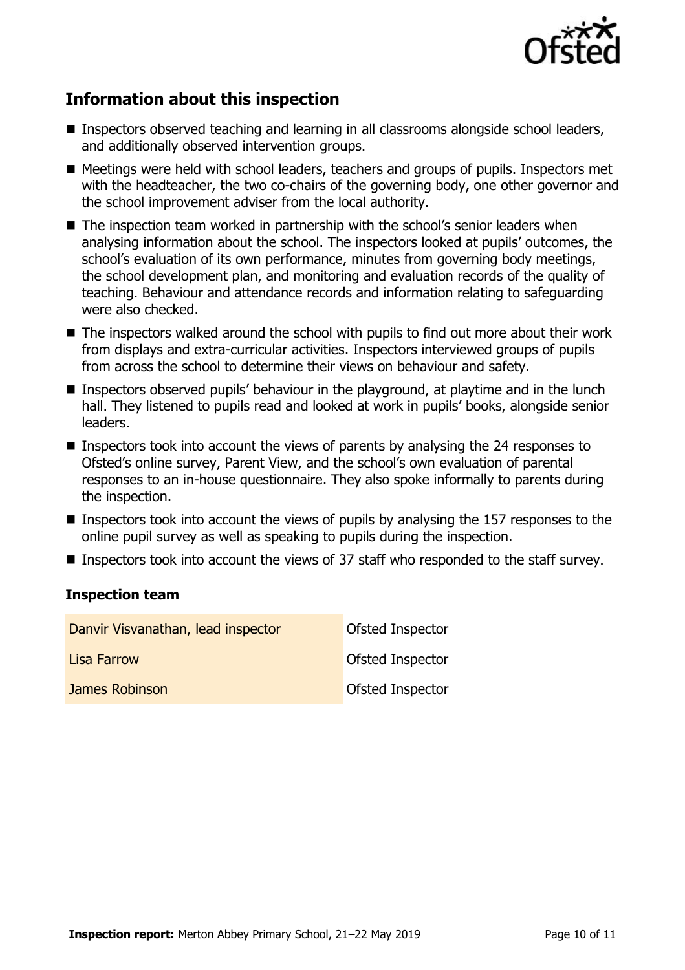

# **Information about this inspection**

- Inspectors observed teaching and learning in all classrooms alongside school leaders, and additionally observed intervention groups.
- Meetings were held with school leaders, teachers and groups of pupils. Inspectors met with the headteacher, the two co-chairs of the governing body, one other governor and the school improvement adviser from the local authority.
- $\blacksquare$  The inspection team worked in partnership with the school's senior leaders when analysing information about the school. The inspectors looked at pupils' outcomes, the school's evaluation of its own performance, minutes from governing body meetings, the school development plan, and monitoring and evaluation records of the quality of teaching. Behaviour and attendance records and information relating to safeguarding were also checked.
- The inspectors walked around the school with pupils to find out more about their work from displays and extra-curricular activities. Inspectors interviewed groups of pupils from across the school to determine their views on behaviour and safety.
- Inspectors observed pupils' behaviour in the playground, at playtime and in the lunch hall. They listened to pupils read and looked at work in pupils' books, alongside senior leaders.
- Inspectors took into account the views of parents by analysing the 24 responses to Ofsted's online survey, Parent View, and the school's own evaluation of parental responses to an in-house questionnaire. They also spoke informally to parents during the inspection.
- **Inspectors took into account the views of pupils by analysing the 157 responses to the** online pupil survey as well as speaking to pupils during the inspection.
- Inspectors took into account the views of 37 staff who responded to the staff survey.

#### **Inspection team**

| Danvir Visvanathan, lead inspector | Ofsted Inspector        |
|------------------------------------|-------------------------|
| Lisa Farrow                        | Ofsted Inspector        |
| James Robinson                     | <b>Ofsted Inspector</b> |